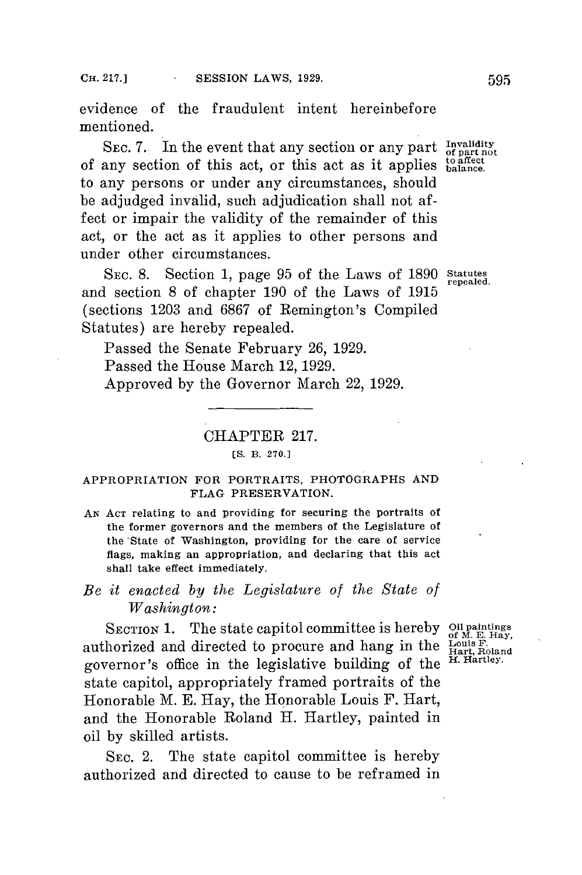evidence of the fraudulent intent hereinbefore mentioned.

SEC. 7. In the event that any section or any part  $\frac{In validity}{of part not}$ of any section of this act, or this act as it applies balance. to any persons or under any circumstances, should be adjudged invalid, such adjudication shall not affect or impair the validity of the remainder of this act, or the act as it applies to other persons and under other circumstances.

**SEC. 8.** Section **1,** page **95** of the Laws of **1890** statutes repealed. and section **8** of chapter **190** of the Laws of **1915** (sections **1203** and **6867** of Remington's Compiled Statutes) are hereby repealed.

Passed the Senate February **26, 1929.** Passed the House March 12, **1929.** Approved **by** the Governor March 22, **1929.**

## CHAPTER **217.**

## **[S.** B. **270.]**

## **APPROPRIATION FOR PORTRAITS, PHOTOGRAPHS AND FLAG PRESERVATION.**

**AN ACT** relating **to and providing for securing the portraits of** the former governors and the members of the Legislature of the 'State of **Washington, providing for the care** of service flags, making an appropriation, and declaring that this act shall take effect immediately.

## *Be it enacted by the Legislature of the State of Washington:*

SECTION **1.** The state capitol committee is hereby SECTION 1. The state capitol committee is hereby Oil paintings<br>authorized and directed to procure and hang in the  $\frac{\text{Louis F.}}{\text{Hard, Roland}}$ governor's office in the legislative building of the state capitol, appropriately framed portraits of the Honorable M. **E.** Hay, the Honorable Louis F. Hart, and the Honorable Roland H. Hartley, painted in oil **by** skilled artists.

SEC. 2. The state capitol committee is hereby authorized and directed to cause to be reframed in

H. Hartley.